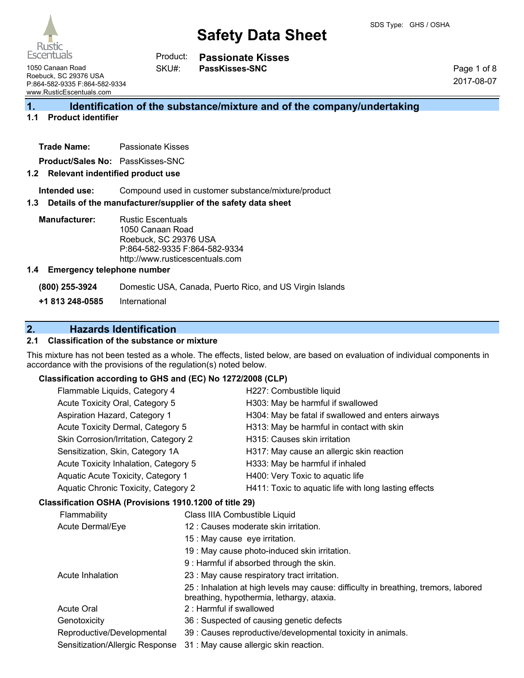Escentuals

**PassKisses-SNC**

1050 Canaan Road Roebuck, SC 29376 USA P:864-582-9335 F:864-582-9334 www.RusticEscentuals.com

Page 1 of 8 2017-08-07

## **1. Identification of the substance/mixture and of the company/undertaking**

## **1.1 Product identifier**

**Trade Name:** Passionate Kisses

**Product/Sales No:** PassKisses-SNC

#### **1.2 Relevant indentified product use**

**Intended use:** Compound used in customer substance/mixture/product

#### **1.3 Details of the manufacturer/supplier of the safety data sheet**

SKU#:

**Manufacturer:** Rustic Escentuals 1050 Canaan Road Roebuck, SC 29376 USA P:864-582-9335 F:864-582-9334 http://www.rusticescentuals.com

#### **1.4 Emergency telephone number**

**(800) 255-3924** Domestic USA, Canada, Puerto Rico, and US Virgin Islands

**+1 813 248-0585** International

## **2. Hazards Identification**

### **2.1 Classification of the substance or mixture**

This mixture has not been tested as a whole. The effects, listed below, are based on evaluation of individual components in accordance with the provisions of the regulation(s) noted below.

#### **Classification according to GHS and (EC) No 1272/2008 (CLP)**

| Flammable Liquids, Category 4         | H227: Combustible liquid                              |
|---------------------------------------|-------------------------------------------------------|
| Acute Toxicity Oral, Category 5       | H303: May be harmful if swallowed                     |
| Aspiration Hazard, Category 1         | H304: May be fatal if swallowed and enters airways    |
| Acute Toxicity Dermal, Category 5     | H313: May be harmful in contact with skin             |
| Skin Corrosion/Irritation, Category 2 | H315: Causes skin irritation                          |
| Sensitization, Skin, Category 1A      | H317: May cause an allergic skin reaction             |
| Acute Toxicity Inhalation, Category 5 | H333: May be harmful if inhaled                       |
| Aquatic Acute Toxicity, Category 1    | H400: Very Toxic to aquatic life                      |
| Aquatic Chronic Toxicity, Category 2  | H411: Toxic to aquatic life with long lasting effects |
|                                       |                                                       |

#### **Classification OSHA (Provisions 1910.1200 of title 29)**

| Flammability                    | Class IIIA Combustible Liquid                                                                                                    |
|---------------------------------|----------------------------------------------------------------------------------------------------------------------------------|
| Acute Dermal/Eye                | 12 : Causes moderate skin irritation.                                                                                            |
|                                 | 15 : May cause eye irritation.                                                                                                   |
|                                 | 19 : May cause photo-induced skin irritation.                                                                                    |
|                                 | 9 : Harmful if absorbed through the skin.                                                                                        |
| Acute Inhalation                | 23 : May cause respiratory tract irritation.                                                                                     |
|                                 | 25 : Inhalation at high levels may cause: difficulty in breathing, tremors, labored<br>breathing, hypothermia, lethargy, ataxia. |
| <b>Acute Oral</b>               | 2: Harmful if swallowed                                                                                                          |
| Genotoxicity                    | 36 : Suspected of causing genetic defects                                                                                        |
| Reproductive/Developmental      | 39 : Causes reproductive/developmental toxicity in animals.                                                                      |
| Sensitization/Allergic Response | 31 : May cause allergic skin reaction.                                                                                           |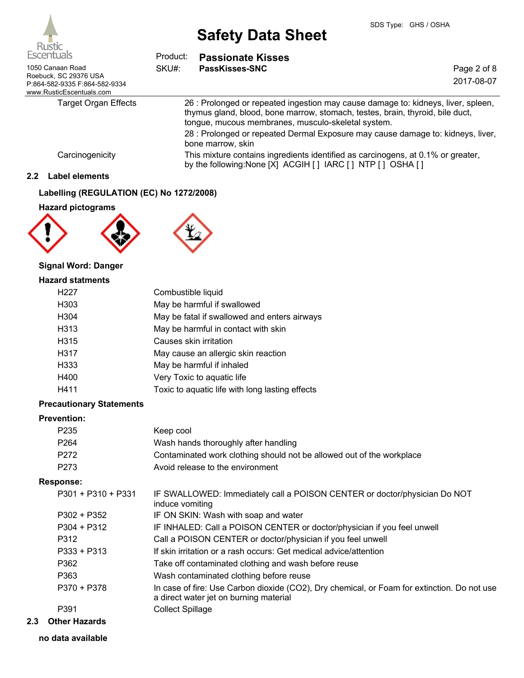

| Escentuals                                                                         | Product: | <b>Passionate Kisses</b>                                                                                                                                                                                                 |             |
|------------------------------------------------------------------------------------|----------|--------------------------------------------------------------------------------------------------------------------------------------------------------------------------------------------------------------------------|-------------|
| 1050 Canaan Road                                                                   | SKU#:    | PassKisses-SNC                                                                                                                                                                                                           | Page 2 of 8 |
| Roebuck, SC 29376 USA<br>P:864-582-9335 F:864-582-9334<br>www.RusticEscentuals.com |          |                                                                                                                                                                                                                          | 2017-08-07  |
| Target Organ Effects                                                               |          | 26 : Prolonged or repeated ingestion may cause damage to: kidneys, liver, spleen,<br>thymus gland, blood, bone marrow, stomach, testes, brain, thyroid, bile duct,<br>tongue, mucous membranes, musculo-skeletal system. |             |
|                                                                                    |          | 28 : Prolonged or repeated Dermal Exposure may cause damage to: kidneys, liver,<br>bone marrow, skin                                                                                                                     |             |
| Carcinogenicity                                                                    |          | This mixture contains ingredients identified as carcinogens, at 0.1% or greater,<br>by the following: None [X] ACGIH [ ] IARC [ ] NTP [ ] OSHA [ ]                                                                       |             |

## **2.2 Label elements**

### **Labelling (REGULATION (EC) No 1272/2008)**

## **Hazard pictograms**





## **Signal Word: Danger**

#### **Hazard statments**

| H <sub>227</sub>  | Combustible liquid                              |
|-------------------|-------------------------------------------------|
| H303              | May be harmful if swallowed                     |
| H <sub>304</sub>  | May be fatal if swallowed and enters airways    |
| H <sub>3</sub> 13 | May be harmful in contact with skin             |
| H <sub>3</sub> 15 | Causes skin irritation                          |
| H317              | May cause an allergic skin reaction             |
| H <sub>333</sub>  | May be harmful if inhaled                       |
| H400              | Very Toxic to aquatic life                      |
| H411              | Toxic to aquatic life with long lasting effects |
|                   |                                                 |

## **Precautionary Statements**

### **Prevention:**

| P <sub>235</sub> | Keep cool                                                             |
|------------------|-----------------------------------------------------------------------|
| P <sub>264</sub> | Wash hands thoroughly after handling                                  |
| P <sub>272</sub> | Contaminated work clothing should not be allowed out of the workplace |
| P <sub>273</sub> | Avoid release to the environment                                      |

#### **Response:**

| P301 + P310 + P331 | IF SWALLOWED: Immediately call a POISON CENTER or doctor/physician Do NOT<br>induce vomiting                                          |
|--------------------|---------------------------------------------------------------------------------------------------------------------------------------|
| P302 + P352        | IF ON SKIN: Wash with soap and water                                                                                                  |
| $P304 + P312$      | IF INHALED: Call a POISON CENTER or doctor/physician if you feel unwell                                                               |
| P312               | Call a POISON CENTER or doctor/physician if you feel unwell                                                                           |
| $P333 + P313$      | If skin irritation or a rash occurs: Get medical advice/attention                                                                     |
| P362               | Take off contaminated clothing and wash before reuse                                                                                  |
| P363               | Wash contaminated clothing before reuse                                                                                               |
| P370 + P378        | In case of fire: Use Carbon dioxide (CO2), Dry chemical, or Foam for extinction. Do not use<br>a direct water jet on burning material |
| P391               | <b>Collect Spillage</b>                                                                                                               |
|                    |                                                                                                                                       |

**2.3 Other Hazards**

**no data available**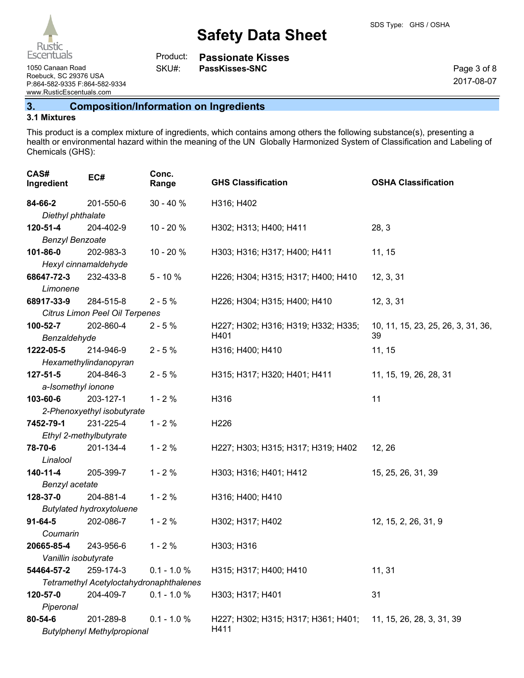| Product: | <b>Passionate Kisses</b> |
|----------|--------------------------|
| SKU#:    | PassKisses-SNC           |

1050 Canaan Road **PassKisses-SNC** 

Page 3 of 8 2017-08-07

Roebuck, SC 29376 USA P:864-582-9335 F:864-582-9334 www.RusticEscentuals.com

## **3. Composition/Information on Ingredients**

## **3.1 Mixtures**

This product is a complex mixture of ingredients, which contains among others the following substance(s), presenting a health or environmental hazard within the meaning of the UN Globally Harmonized System of Classification and Labeling of Chemicals (GHS):

| CAS#<br>Ingredient     | EC#                                             | Conc.<br>Range | <b>GHS Classification</b>                   | <b>OSHA Classification</b>         |
|------------------------|-------------------------------------------------|----------------|---------------------------------------------|------------------------------------|
| 84-66-2                | 201-550-6                                       | $30 - 40%$     | H316; H402                                  |                                    |
| Diethyl phthalate      |                                                 |                |                                             |                                    |
| 120-51-4               | 204-402-9                                       | $10 - 20%$     | H302; H313; H400; H411                      | 28, 3                              |
| <b>Benzyl Benzoate</b> |                                                 |                |                                             |                                    |
| 101-86-0               | 202-983-3                                       | 10 - 20 %      | H303; H316; H317; H400; H411                | 11, 15                             |
|                        | Hexyl cinnamaldehyde                            |                |                                             |                                    |
| 68647-72-3             | 232-433-8                                       | $5 - 10%$      | H226; H304; H315; H317; H400; H410          | 12, 3, 31                          |
| Limonene               |                                                 |                |                                             |                                    |
| 68917-33-9             | 284-515-8                                       | $2 - 5%$       | H226; H304; H315; H400; H410                | 12, 3, 31                          |
|                        | Citrus Limon Peel Oil Terpenes                  |                |                                             |                                    |
| 100-52-7               | 202-860-4                                       | $2 - 5%$       | H227; H302; H316; H319; H332; H335;         | 10, 11, 15, 23, 25, 26, 3, 31, 36, |
| Benzaldehyde           |                                                 |                | H401                                        | 39                                 |
| 1222-05-5              | 214-946-9                                       | $2 - 5%$       | H316; H400; H410                            | 11, 15                             |
|                        | Hexamethylindanopyran                           |                |                                             |                                    |
| $127 - 51 - 5$         | 204-846-3                                       | $2 - 5%$       | H315; H317; H320; H401; H411                | 11, 15, 19, 26, 28, 31             |
| a-Isomethyl ionone     |                                                 |                |                                             |                                    |
| 103-60-6               | 203-127-1                                       | $1 - 2%$       | H316                                        | 11                                 |
|                        | 2-Phenoxyethyl isobutyrate                      |                |                                             |                                    |
| 7452-79-1              | 231-225-4                                       | $1 - 2%$       | H <sub>226</sub>                            |                                    |
|                        | Ethyl 2-methylbutyrate                          |                |                                             |                                    |
| 78-70-6                | 201-134-4                                       | $1 - 2%$       | H227; H303; H315; H317; H319; H402          | 12, 26                             |
| Linalool               |                                                 |                |                                             |                                    |
| 140-11-4               | 205-399-7                                       | $1 - 2%$       | H303; H316; H401; H412                      | 15, 25, 26, 31, 39                 |
| Benzyl acetate         |                                                 |                |                                             |                                    |
| 128-37-0               | 204-881-4                                       | $1 - 2%$       | H316; H400; H410                            |                                    |
|                        | <b>Butylated hydroxytoluene</b>                 |                |                                             |                                    |
| $91 - 64 - 5$          | 202-086-7                                       | $1 - 2%$       | H302; H317; H402                            | 12, 15, 2, 26, 31, 9               |
| Coumarin               |                                                 |                |                                             |                                    |
| 20665-85-4             | 243-956-6                                       | $1 - 2%$       | H303; H316                                  |                                    |
| Vanillin isobutyrate   |                                                 |                |                                             |                                    |
| 54464-57-2             | 259-174-3                                       | $0.1 - 1.0 %$  | H315; H317; H400; H410                      | 11, 31                             |
|                        | Tetramethyl Acetyloctahydronaphthalenes         |                |                                             |                                    |
| 120-57-0               | 204-409-7                                       | $0.1 - 1.0 %$  | H303; H317; H401                            | 31                                 |
| Piperonal              |                                                 |                |                                             |                                    |
| 80-54-6                | 201-289-8<br><b>Butylphenyl Methylpropional</b> | $0.1 - 1.0 %$  | H227; H302; H315; H317; H361; H401;<br>H411 | 11, 15, 26, 28, 3, 31, 39          |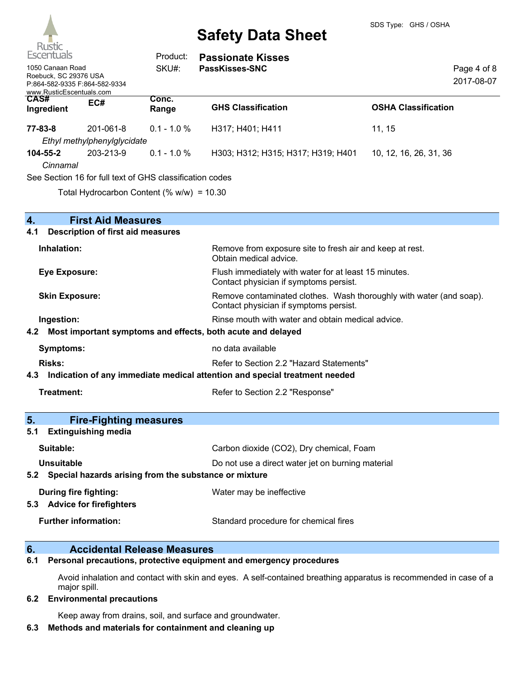

| Escentuals<br>1050 Canaan Road<br>Roebuck, SC 29376 USA<br>www.RusticEscentuals.com | P:864-582-9335 F:864-582-9334                            | Product:<br>SKU#: | <b>Passionate Kisses</b><br><b>PassKisses-SNC</b> | Page 4 of 8<br>2017-08-07  |
|-------------------------------------------------------------------------------------|----------------------------------------------------------|-------------------|---------------------------------------------------|----------------------------|
| <b>CAS#</b><br>Ingredient                                                           | EC#                                                      | Conc.<br>Range    | <b>GHS Classification</b>                         | <b>OSHA Classification</b> |
| 77-83-8                                                                             | 201-061-8<br>Ethyl methylphenylglycidate                 | $0.1 - 1.0 %$     | H317; H401; H411                                  | 11.15                      |
| 104-55-2<br>Cinnamal                                                                | 203-213-9                                                | $0.1 - 1.0 %$     | H303; H312; H315; H317; H319; H401                | 10, 12, 16, 26, 31, 36     |
|                                                                                     | See Section 16 for full text of GHS classification codes |                   |                                                   |                            |

Total Hydrocarbon Content (% w/w) = 10.30

| 4.  | <b>First Aid Measures</b>                                                  |                                                                                                               |  |  |  |
|-----|----------------------------------------------------------------------------|---------------------------------------------------------------------------------------------------------------|--|--|--|
| 4.1 | <b>Description of first aid measures</b>                                   |                                                                                                               |  |  |  |
|     | Inhalation:                                                                | Remove from exposure site to fresh air and keep at rest.<br>Obtain medical advice.                            |  |  |  |
|     | <b>Eye Exposure:</b>                                                       | Flush immediately with water for at least 15 minutes.<br>Contact physician if symptoms persist.               |  |  |  |
|     | <b>Skin Exposure:</b>                                                      | Remove contaminated clothes. Wash thoroughly with water (and soap).<br>Contact physician if symptoms persist. |  |  |  |
|     | Ingestion:                                                                 | Rinse mouth with water and obtain medical advice.                                                             |  |  |  |
| 4.2 | Most important symptoms and effects, both acute and delayed                |                                                                                                               |  |  |  |
|     | <b>Symptoms:</b>                                                           | no data available                                                                                             |  |  |  |
|     | <b>Risks:</b>                                                              | Refer to Section 2.2 "Hazard Statements"                                                                      |  |  |  |
| 4.3 | Indication of any immediate medical attention and special treatment needed |                                                                                                               |  |  |  |
|     | Treatment:                                                                 | Refer to Section 2.2 "Response"                                                                               |  |  |  |
| 5.  | <b>Fire-Fighting measures</b>                                              |                                                                                                               |  |  |  |
| 5.1 | <b>Extinguishing media</b>                                                 |                                                                                                               |  |  |  |
|     | Suitable:                                                                  | Carbon dioxide (CO2), Dry chemical, Foam                                                                      |  |  |  |
|     | <b>Unsuitable</b>                                                          | Do not use a direct water jet on burning material                                                             |  |  |  |
| 5.2 | Special hazards arising from the substance or mixture                      |                                                                                                               |  |  |  |
|     | During fire fighting:                                                      | Water may be ineffective                                                                                      |  |  |  |
|     | 5.3 Advice for firefighters                                                |                                                                                                               |  |  |  |
|     |                                                                            |                                                                                                               |  |  |  |

## **6. Accidental Release Measures**

**6.1 Personal precautions, protective equipment and emergency procedures**

Avoid inhalation and contact with skin and eyes. A self-contained breathing apparatus is recommended in case of a major spill.

#### **6.2 Environmental precautions**

Keep away from drains, soil, and surface and groundwater.

## **6.3 Methods and materials for containment and cleaning up**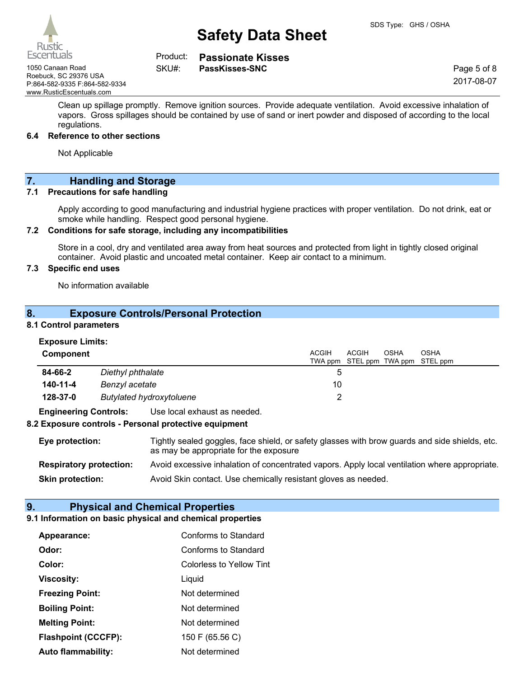

**Passionate Kisses** Product:

SKU#:

1050 Canaan Road **PassKisses-SNC** Roebuck, SC 29376 USA P:864-582-9335 F:864-582-9334 www.RusticEscentuals.com

Page 5 of 8 2017-08-07

Clean up spillage promptly. Remove ignition sources. Provide adequate ventilation. Avoid excessive inhalation of vapors. Gross spillages should be contained by use of sand or inert powder and disposed of according to the local regulations.

#### **6.4 Reference to other sections**

Not Applicable

## **7. Handling and Storage**

#### **7.1 Precautions for safe handling**

Apply according to good manufacturing and industrial hygiene practices with proper ventilation. Do not drink, eat or smoke while handling. Respect good personal hygiene.

#### **7.2 Conditions for safe storage, including any incompatibilities**

Store in a cool, dry and ventilated area away from heat sources and protected from light in tightly closed original container. Avoid plastic and uncoated metal container. Keep air contact to a minimum.

### **7.3 Specific end uses**

No information available

## **8. Exposure Controls/Personal Protection**

#### **8.1 Control parameters**

| <b>Component</b>                                             |                   |  | ACGIH |   | <b>ACGIH</b> | <b>OSHA</b> | <b>OSHA</b><br>TWA ppm STEL ppm TWA ppm STEL ppm |
|--------------------------------------------------------------|-------------------|--|-------|---|--------------|-------------|--------------------------------------------------|
| 84-66-2                                                      | Diethyl phthalate |  |       | b |              |             |                                                  |
| 140-11-4<br>Benzyl acetate                                   |                   |  | 10    |   |              |             |                                                  |
| 128-37-0<br><b>Butylated hydroxytoluene</b>                  |                   |  |       |   |              |             |                                                  |
| <b>Engineering Controls:</b><br>Use local exhaust as needed. |                   |  |       |   |              |             |                                                  |

#### **8.2 Exposure controls - Personal protective equipment**

| Eye protection:                | Tightly sealed goggles, face shield, or safety glasses with brow guards and side shields, etc.<br>as may be appropriate for the exposure |
|--------------------------------|------------------------------------------------------------------------------------------------------------------------------------------|
| <b>Respiratory protection:</b> | Avoid excessive inhalation of concentrated vapors. Apply local ventilation where appropriate.                                            |
| <b>Skin protection:</b>        | Avoid Skin contact. Use chemically resistant gloves as needed.                                                                           |

## **9. Physical and Chemical Properties**

## **9.1 Information on basic physical and chemical properties**

| Appearance:                | Conforms to Standard     |
|----------------------------|--------------------------|
| Odor:                      | Conforms to Standard     |
| Color:                     | Colorless to Yellow Tint |
| Viscosity:                 | Liquid                   |
| <b>Freezing Point:</b>     | Not determined           |
| <b>Boiling Point:</b>      | Not determined           |
| <b>Melting Point:</b>      | Not determined           |
| <b>Flashpoint (CCCFP):</b> | 150 F (65.56 C)          |
| <b>Auto flammability:</b>  | Not determined           |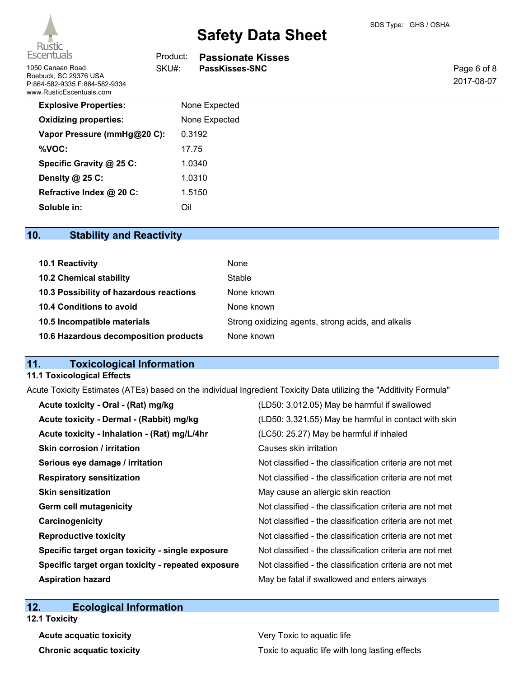

| Escentuals                                                                                             | Product: | <b>Passionate Kisses</b> |                           |
|--------------------------------------------------------------------------------------------------------|----------|--------------------------|---------------------------|
| 1050 Canaan Road<br>Roebuck, SC 29376 USA<br>P:864-582-9335 F:864-582-9334<br>www.RusticEscentuals.com | SKU#:    | PassKisses-SNC           | Page 6 of 8<br>2017-08-07 |
| <b>Explosive Properties:</b>                                                                           |          | None Expected            |                           |
| <b>Oxidizing properties:</b>                                                                           |          | None Expected            |                           |
| Vapor Pressure (mmHg@20 C):                                                                            |          | 0.3192                   |                           |
| %VOC:                                                                                                  | 17.75    |                          |                           |
| Specific Gravity @ 25 C:                                                                               |          | 1.0340                   |                           |
| Density @ 25 C:                                                                                        |          | 1.0310                   |                           |
| Refractive Index @ 20 C:                                                                               |          | 1.5150                   |                           |
| Soluble in:                                                                                            | Oil      |                          |                           |
|                                                                                                        |          |                          |                           |

## **10. Stability and Reactivity**

| 10.1 Reactivity                         | None                                               |
|-----------------------------------------|----------------------------------------------------|
| <b>10.2 Chemical stability</b>          | Stable                                             |
| 10.3 Possibility of hazardous reactions | None known                                         |
| 10.4 Conditions to avoid                | None known                                         |
| 10.5 Incompatible materials             | Strong oxidizing agents, strong acids, and alkalis |
| 10.6 Hazardous decomposition products   | None known                                         |

## **11. Toxicological Information**

#### **11.1 Toxicological Effects**

Acute Toxicity Estimates (ATEs) based on the individual Ingredient Toxicity Data utilizing the "Additivity Formula"

| Acute toxicity - Oral - (Rat) mg/kg                | (LD50: 3,012.05) May be harmful if swallowed             |
|----------------------------------------------------|----------------------------------------------------------|
| Acute toxicity - Dermal - (Rabbit) mg/kg           | (LD50: 3,321.55) May be harmful in contact with skin     |
| Acute toxicity - Inhalation - (Rat) mg/L/4hr       | (LC50: 25.27) May be harmful if inhaled                  |
| <b>Skin corrosion / irritation</b>                 | Causes skin irritation                                   |
| Serious eye damage / irritation                    | Not classified - the classification criteria are not met |
| <b>Respiratory sensitization</b>                   | Not classified - the classification criteria are not met |
| <b>Skin sensitization</b>                          | May cause an allergic skin reaction                      |
| <b>Germ cell mutagenicity</b>                      | Not classified - the classification criteria are not met |
| Carcinogenicity                                    | Not classified - the classification criteria are not met |
| <b>Reproductive toxicity</b>                       | Not classified - the classification criteria are not met |
| Specific target organ toxicity - single exposure   | Not classified - the classification criteria are not met |
| Specific target organ toxicity - repeated exposure | Not classified - the classification criteria are not met |
| <b>Aspiration hazard</b>                           | May be fatal if swallowed and enters airways             |
|                                                    |                                                          |

## **12. Ecological Information**

**12.1 Toxicity**

**Acute acquatic toxicity Very Toxic to aquatic life Chronic acquatic toxicity Toxic to aquatic life with long lasting effects**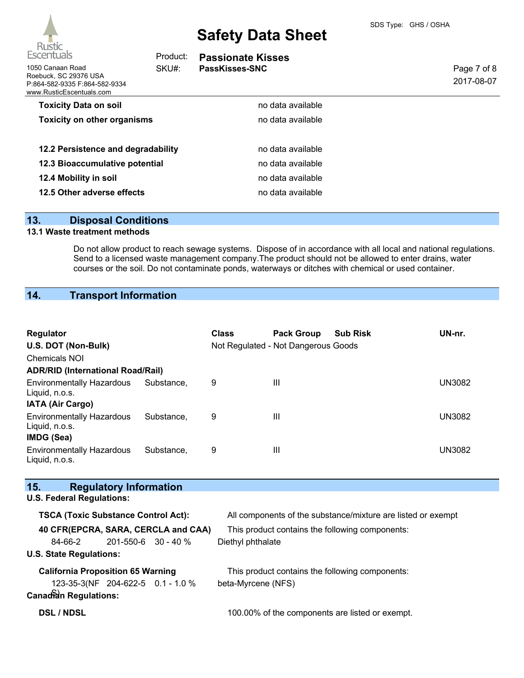| Escentuals                                                                                             | Product: | <b>Passionate Kisses</b> |                           |
|--------------------------------------------------------------------------------------------------------|----------|--------------------------|---------------------------|
| 1050 Canaan Road<br>Roebuck, SC 29376 USA<br>P:864-582-9335 F:864-582-9334<br>www.RusticEscentuals.com | SKU#:    | PassKisses-SNC           | Page 7 of 8<br>2017-08-07 |
| <b>Toxicity Data on soil</b>                                                                           |          | no data available        |                           |
| <b>Toxicity on other organisms</b>                                                                     |          | no data available        |                           |
| 12.2 Persistence and degradability                                                                     |          | no data available        |                           |
| 12.3 Bioaccumulative potential                                                                         |          | no data available        |                           |
| 12.4 Mobility in soil                                                                                  |          | no data available        |                           |
| 12.5 Other adverse effects                                                                             |          | no data available        |                           |
|                                                                                                        |          |                          |                           |

## **13. Disposal Conditions**

### **13.1 Waste treatment methods**

Do not allow product to reach sewage systems. Dispose of in accordance with all local and national regulations. Send to a licensed waste management company.The product should not be allowed to enter drains, water courses or the soil. Do not contaminate ponds, waterways or ditches with chemical or used container.

## **14. Transport Information**

| Regulator<br>U.S. DOT (Non-Bulk)<br><b>Chemicals NOI</b><br><b>ADR/RID (International Road/Rail)</b> |            | <b>Class</b> | <b>Pack Group</b><br>Not Regulated - Not Dangerous Goods | <b>Sub Risk</b> | UN-nr.        |
|------------------------------------------------------------------------------------------------------|------------|--------------|----------------------------------------------------------|-----------------|---------------|
| <b>Environmentally Hazardous</b><br>Liquid, n.o.s.                                                   | Substance, | 9            | Ш                                                        |                 | <b>UN3082</b> |
| <b>IATA (Air Cargo)</b><br><b>Environmentally Hazardous</b><br>Liquid, n.o.s.                        | Substance. | 9            | Ш                                                        |                 | <b>UN3082</b> |
| IMDG (Sea)<br><b>Environmentally Hazardous</b><br>Liquid, n.o.s.                                     | Substance. | 9            | Ш                                                        |                 | <b>UN3082</b> |

| 15.<br><b>Regulatory Information</b>       |                                                              |  |
|--------------------------------------------|--------------------------------------------------------------|--|
| <b>U.S. Federal Regulations:</b>           |                                                              |  |
| <b>TSCA (Toxic Substance Control Act):</b> | All components of the substance/mixture are listed or exempt |  |
| 40 CFR(EPCRA, SARA, CERCLA and CAA)        | This product contains the following components:              |  |
| $201 - 550 - 6$ 30 - 40 %<br>84-66-2       | Diethyl phthalate                                            |  |
| <b>U.S. State Regulations:</b>             |                                                              |  |
| <b>California Proposition 65 Warning</b>   | This product contains the following components:              |  |
| 123-35-3(NF 204-622-5 0.1 - 1.0 %          | beta-Myrcene (NFS)                                           |  |
| Canadian Regulations:                      |                                                              |  |
| <b>DSL / NDSL</b>                          | 100.00% of the components are listed or exempt.              |  |